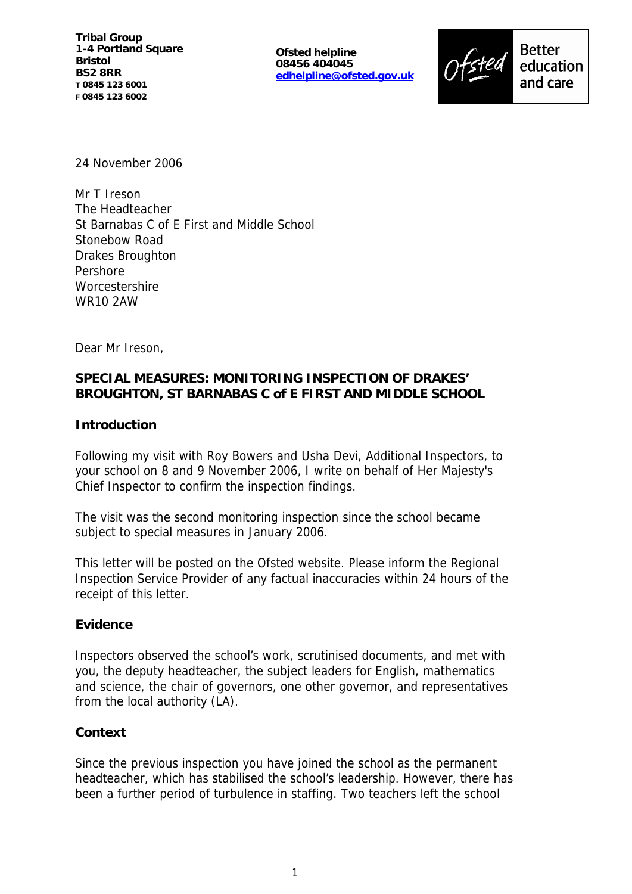**Tribal Group 1-4 Portland Square Bristol BS2 8RR T 0845 123 6001 F 0845 123 6002**

**Ofsted helpline 08456 404045 edhelpline@ofsted.gov.uk**



24 November 2006

Mr T Ireson The Headteacher St Barnabas C of E First and Middle School Stonebow Road Drakes Broughton Pershore **Worcestershire** WR10 2AW

Dear Mr Ireson,

# **SPECIAL MEASURES: MONITORING INSPECTION OF DRAKES' BROUGHTON, ST BARNABAS C of E FIRST AND MIDDLE SCHOOL**

### **Introduction**

Following my visit with Roy Bowers and Usha Devi, Additional Inspectors, to your school on 8 and 9 November 2006, I write on behalf of Her Majesty's Chief Inspector to confirm the inspection findings.

The visit was the second monitoring inspection since the school became subject to special measures in January 2006.

This letter will be posted on the Ofsted website. Please inform the Regional Inspection Service Provider of any factual inaccuracies within 24 hours of the receipt of this letter.

### **Evidence**

Inspectors observed the school's work, scrutinised documents, and met with you, the deputy headteacher, the subject leaders for English, mathematics and science, the chair of governors, one other governor, and representatives from the local authority (LA).

### **Context**

Since the previous inspection you have joined the school as the permanent headteacher, which has stabilised the school's leadership. However, there has been a further period of turbulence in staffing. Two teachers left the school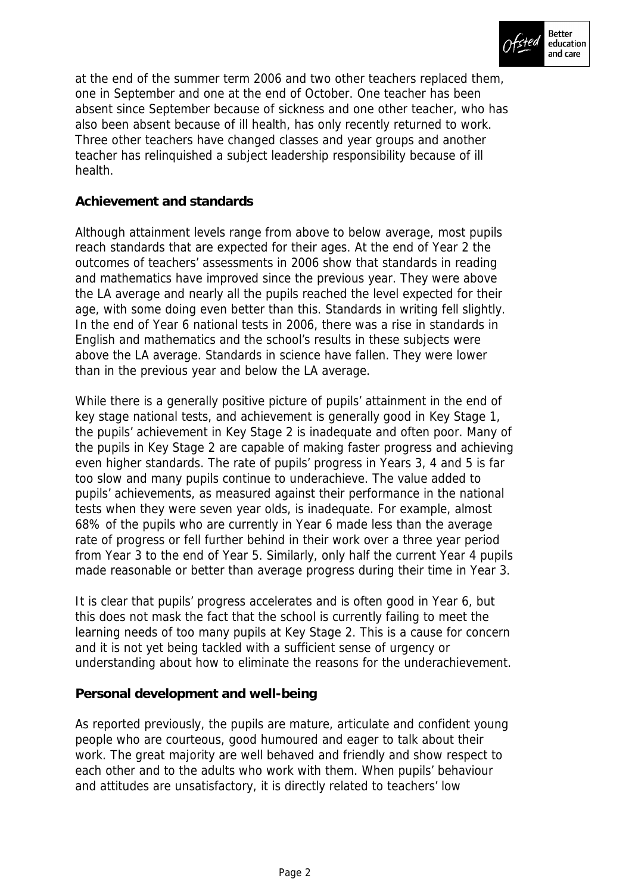

at the end of the summer term 2006 and two other teachers replaced them, one in September and one at the end of October. One teacher has been absent since September because of sickness and one other teacher, who has also been absent because of ill health, has only recently returned to work. Three other teachers have changed classes and year groups and another teacher has relinquished a subject leadership responsibility because of ill health.

### **Achievement and standards**

Although attainment levels range from above to below average, most pupils reach standards that are expected for their ages. At the end of Year 2 the outcomes of teachers' assessments in 2006 show that standards in reading and mathematics have improved since the previous year. They were above the LA average and nearly all the pupils reached the level expected for their age, with some doing even better than this. Standards in writing fell slightly. In the end of Year 6 national tests in 2006, there was a rise in standards in English and mathematics and the school's results in these subjects were above the LA average. Standards in science have fallen. They were lower than in the previous year and below the LA average.

While there is a generally positive picture of pupils' attainment in the end of key stage national tests, and achievement is generally good in Key Stage 1, the pupils' achievement in Key Stage 2 is inadequate and often poor. Many of the pupils in Key Stage 2 are capable of making faster progress and achieving even higher standards. The rate of pupils' progress in Years 3, 4 and 5 is far too slow and many pupils continue to underachieve. The value added to pupils' achievements, as measured against their performance in the national tests when they were seven year olds, is inadequate. For example, almost 68% of the pupils who are currently in Year 6 made less than the average rate of progress or fell further behind in their work over a three year period from Year 3 to the end of Year 5. Similarly, only half the current Year 4 pupils made reasonable or better than average progress during their time in Year 3.

It is clear that pupils' progress accelerates and is often good in Year 6, but this does not mask the fact that the school is currently failing to meet the learning needs of too many pupils at Key Stage 2. This is a cause for concern and it is not yet being tackled with a sufficient sense of urgency or understanding about how to eliminate the reasons for the underachievement.

#### **Personal development and well-being**

As reported previously, the pupils are mature, articulate and confident young people who are courteous, good humoured and eager to talk about their work. The great majority are well behaved and friendly and show respect to each other and to the adults who work with them. When pupils' behaviour and attitudes are unsatisfactory, it is directly related to teachers' low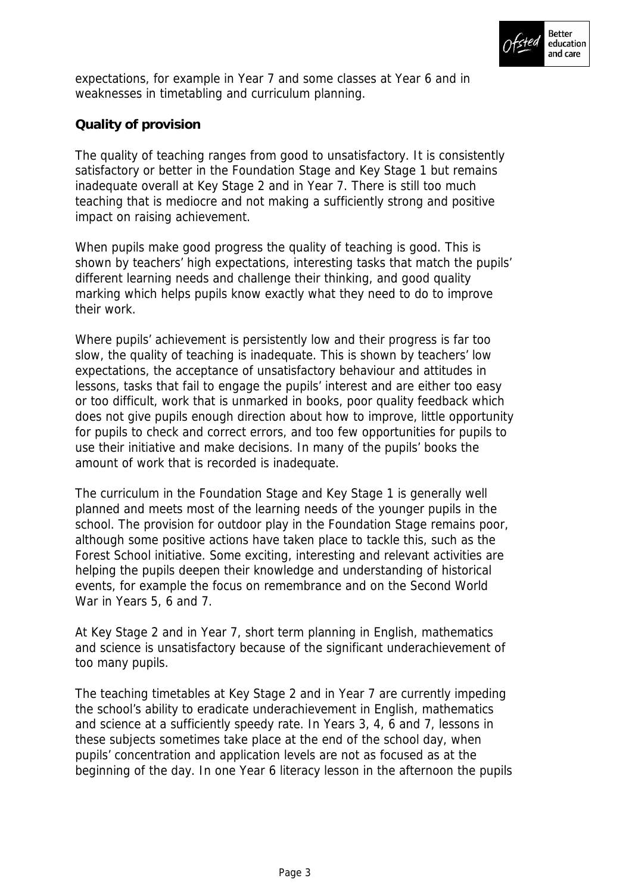

expectations, for example in Year 7 and some classes at Year 6 and in weaknesses in timetabling and curriculum planning.

# **Quality of provision**

The quality of teaching ranges from good to unsatisfactory. It is consistently satisfactory or better in the Foundation Stage and Key Stage 1 but remains inadequate overall at Key Stage 2 and in Year 7. There is still too much teaching that is mediocre and not making a sufficiently strong and positive impact on raising achievement.

When pupils make good progress the quality of teaching is good. This is shown by teachers' high expectations, interesting tasks that match the pupils' different learning needs and challenge their thinking, and good quality marking which helps pupils know exactly what they need to do to improve their work.

Where pupils' achievement is persistently low and their progress is far too slow, the quality of teaching is inadequate. This is shown by teachers' low expectations, the acceptance of unsatisfactory behaviour and attitudes in lessons, tasks that fail to engage the pupils' interest and are either too easy or too difficult, work that is unmarked in books, poor quality feedback which does not give pupils enough direction about how to improve, little opportunity for pupils to check and correct errors, and too few opportunities for pupils to use their initiative and make decisions. In many of the pupils' books the amount of work that is recorded is inadequate.

The curriculum in the Foundation Stage and Key Stage 1 is generally well planned and meets most of the learning needs of the younger pupils in the school. The provision for outdoor play in the Foundation Stage remains poor, although some positive actions have taken place to tackle this, such as the Forest School initiative. Some exciting, interesting and relevant activities are helping the pupils deepen their knowledge and understanding of historical events, for example the focus on remembrance and on the Second World War in Years 5, 6 and 7.

At Key Stage 2 and in Year 7, short term planning in English, mathematics and science is unsatisfactory because of the significant underachievement of too many pupils.

The teaching timetables at Key Stage 2 and in Year 7 are currently impeding the school's ability to eradicate underachievement in English, mathematics and science at a sufficiently speedy rate. In Years 3, 4, 6 and 7, lessons in these subjects sometimes take place at the end of the school day, when pupils' concentration and application levels are not as focused as at the beginning of the day. In one Year 6 literacy lesson in the afternoon the pupils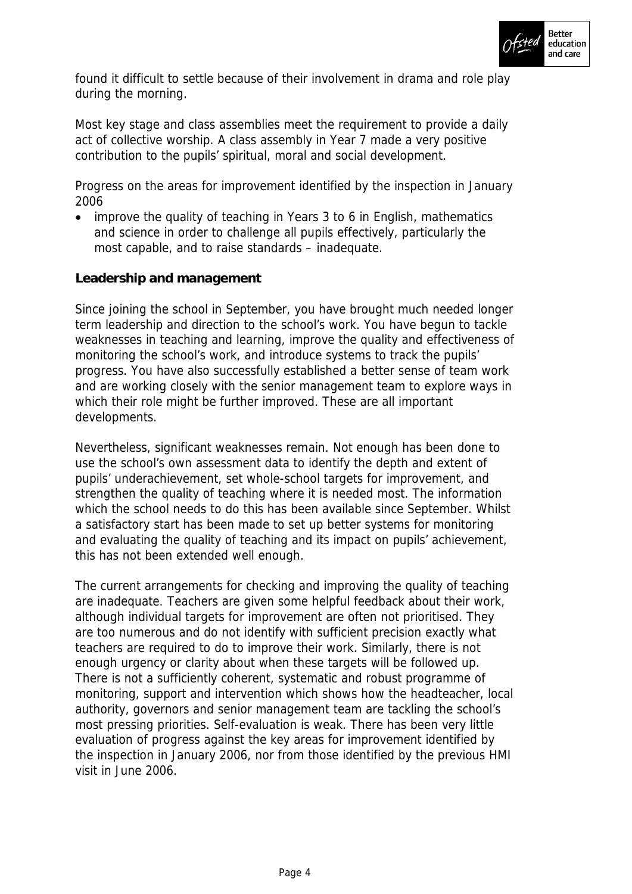

found it difficult to settle because of their involvement in drama and role play during the morning.

Most key stage and class assemblies meet the requirement to provide a daily act of collective worship. A class assembly in Year 7 made a very positive contribution to the pupils' spiritual, moral and social development.

Progress on the areas for improvement identified by the inspection in January 2006

 improve the quality of teaching in Years 3 to 6 in English, mathematics and science in order to challenge all pupils effectively, particularly the most capable, and to raise standards – inadequate.

## **Leadership and management**

Since joining the school in September, you have brought much needed longer term leadership and direction to the school's work. You have begun to tackle weaknesses in teaching and learning, improve the quality and effectiveness of monitoring the school's work, and introduce systems to track the pupils' progress. You have also successfully established a better sense of team work and are working closely with the senior management team to explore ways in which their role might be further improved. These are all important developments.

Nevertheless, significant weaknesses remain. Not enough has been done to use the school's own assessment data to identify the depth and extent of pupils' underachievement, set whole-school targets for improvement, and strengthen the quality of teaching where it is needed most. The information which the school needs to do this has been available since September. Whilst a satisfactory start has been made to set up better systems for monitoring and evaluating the quality of teaching and its impact on pupils' achievement, this has not been extended well enough.

The current arrangements for checking and improving the quality of teaching are inadequate. Teachers are given some helpful feedback about their work, although individual targets for improvement are often not prioritised. They are too numerous and do not identify with sufficient precision exactly what teachers are required to do to improve their work. Similarly, there is not enough urgency or clarity about when these targets will be followed up. There is not a sufficiently coherent, systematic and robust programme of monitoring, support and intervention which shows how the headteacher, local authority, governors and senior management team are tackling the school's most pressing priorities. Self-evaluation is weak. There has been very little evaluation of progress against the key areas for improvement identified by the inspection in January 2006, nor from those identified by the previous HMI visit in June 2006.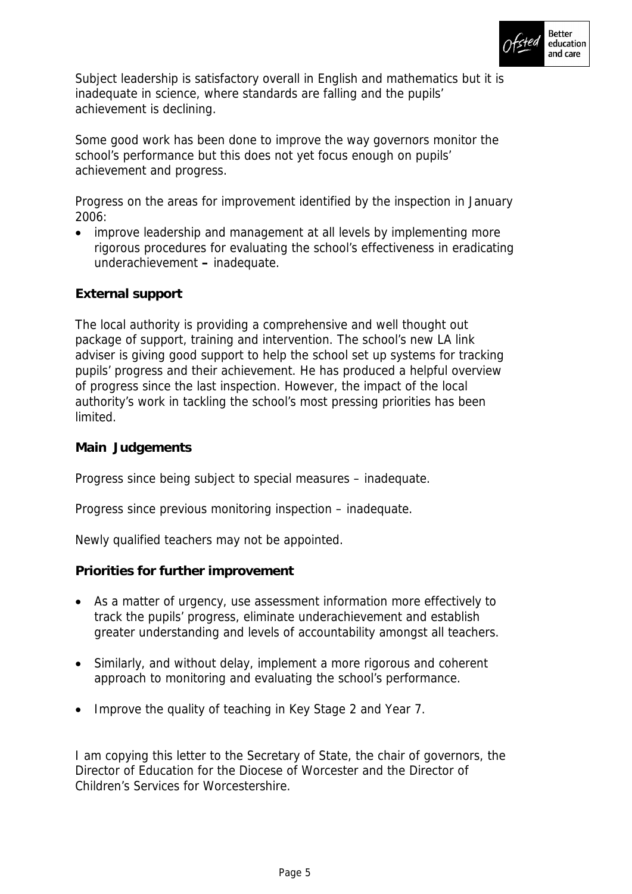

Subject leadership is satisfactory overall in English and mathematics but it is inadequate in science, where standards are falling and the pupils' achievement is declining.

Some good work has been done to improve the way governors monitor the school's performance but this does not yet focus enough on pupils' achievement and progress.

Progress on the areas for improvement identified by the inspection in January 2006:

• improve leadership and management at all levels by implementing more rigorous procedures for evaluating the school's effectiveness in eradicating underachievement **–** inadequate.

## **External support**

The local authority is providing a comprehensive and well thought out package of support, training and intervention. The school's new LA link adviser is giving good support to help the school set up systems for tracking pupils' progress and their achievement. He has produced a helpful overview of progress since the last inspection. However, the impact of the local authority's work in tackling the school's most pressing priorities has been limited.

**Main Judgements**

Progress since being subject to special measures – inadequate.

Progress since previous monitoring inspection – inadequate.

Newly qualified teachers may not be appointed.

**Priorities for further improvement**

- As a matter of urgency, use assessment information more effectively to track the pupils' progress, eliminate underachievement and establish greater understanding and levels of accountability amongst all teachers.
- Similarly, and without delay, implement a more rigorous and coherent approach to monitoring and evaluating the school's performance.
- Improve the quality of teaching in Key Stage 2 and Year 7.

I am copying this letter to the Secretary of State, the chair of governors, the Director of Education for the Diocese of Worcester and the Director of Children's Services for Worcestershire.